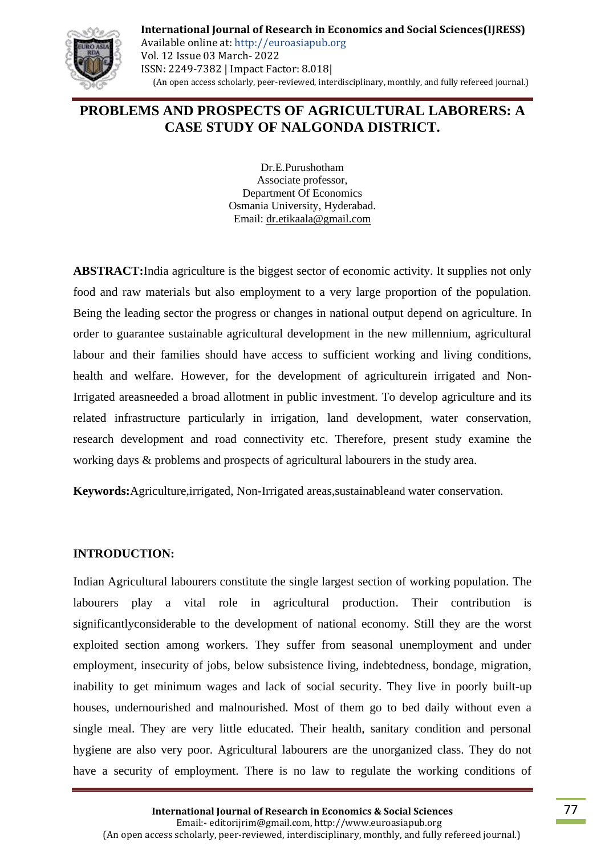

**International Journal of Research in Economics and Social Sciences(IJRESS)** Available online at: http://euroasiapub.org Vol. 12 Issue 03 March- 2022 ISSN: 2249-7382 | Impact Factor: 8.018| (An open access scholarly, peer-reviewed, interdisciplinary, monthly, and fully refereed journal.)

# **PROBLEMS AND PROSPECTS OF AGRICULTURAL LABORERS: A CASE STUDY OF NALGONDA DISTRICT.**

Dr.E.Purushotham Associate professor, Department Of Economics Osmania University, Hyderabad. Email: [dr.etikaala@gmail.com](mailto:dr.etikaala@gmail.com)

**ABSTRACT:**India agriculture is the biggest sector of economic activity. It supplies not only food and raw materials but also employment to a very large proportion of the population. Being the leading sector the progress or changes in national output depend on agriculture. In order to guarantee sustainable agricultural development in the new millennium, agricultural labour and their families should have access to sufficient working and living conditions, health and welfare. However, for the development of agriculturein irrigated and Non-Irrigated areasneeded a broad allotment in public investment. To develop agriculture and its related infrastructure particularly in irrigation, land development, water conservation, research development and road connectivity etc. Therefore, present study examine the working days & problems and prospects of agricultural labourers in the study area.

**Keywords:**Agriculture,irrigated, Non-Irrigated areas,sustainableand water conservation.

### **INTRODUCTION:**

Indian Agricultural labourers constitute the single largest section of working population. The labourers play a vital role in agricultural production. Their contribution is significantlyconsiderable to the development of national economy. Still they are the worst exploited section among workers. They suffer from seasonal unemployment and under employment, insecurity of jobs, below subsistence living, indebtedness, bondage, migration, inability to get minimum wages and lack of social security. They live in poorly built-up houses, undernourished and malnourished. Most of them go to bed daily without even a single meal. They are very little educated. Their health, sanitary condition and personal hygiene are also very poor. Agricultural labourers are the unorganized class. They do not have a security of employment. There is no law to regulate the working conditions of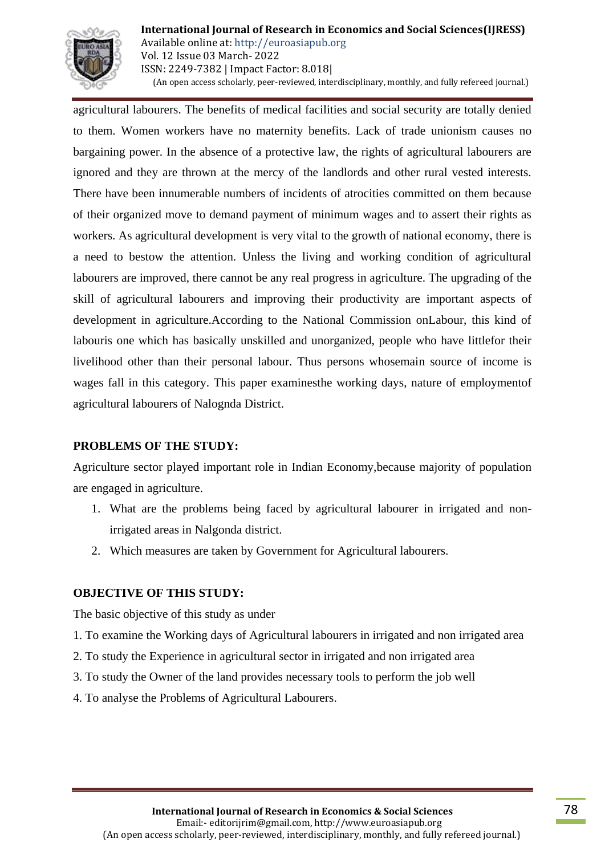

agricultural labourers. The benefits of medical facilities and social security are totally denied to them. Women workers have no maternity benefits. Lack of trade unionism causes no bargaining power. In the absence of a protective law, the rights of agricultural labourers are ignored and they are thrown at the mercy of the landlords and other rural vested interests. There have been innumerable numbers of incidents of atrocities committed on them because of their organized move to demand payment of minimum wages and to assert their rights as workers. As agricultural development is very vital to the growth of national economy, there is a need to bestow the attention. Unless the living and working condition of agricultural labourers are improved, there cannot be any real progress in agriculture. The upgrading of the skill of agricultural labourers and improving their productivity are important aspects of development in agriculture.According to the National Commission onLabour, this kind of labouris one which has basically unskilled and unorganized, people who have littlefor their livelihood other than their personal labour. Thus persons whosemain source of income is wages fall in this category. This paper examinesthe working days, nature of employmentof agricultural labourers of Nalognda District.

### **PROBLEMS OF THE STUDY:**

Agriculture sector played important role in Indian Economy,because majority of population are engaged in agriculture.

- 1. What are the problems being faced by agricultural labourer in irrigated and nonirrigated areas in Nalgonda district.
- 2. Which measures are taken by Government for Agricultural labourers.

### **OBJECTIVE OF THIS STUDY:**

The basic objective of this study as under

- 1. To examine the Working days of Agricultural labourers in irrigated and non irrigated area
- 2. To study the Experience in agricultural sector in irrigated and non irrigated area
- 3. To study the Owner of the land provides necessary tools to perform the job well
- 4. To analyse the Problems of Agricultural Labourers.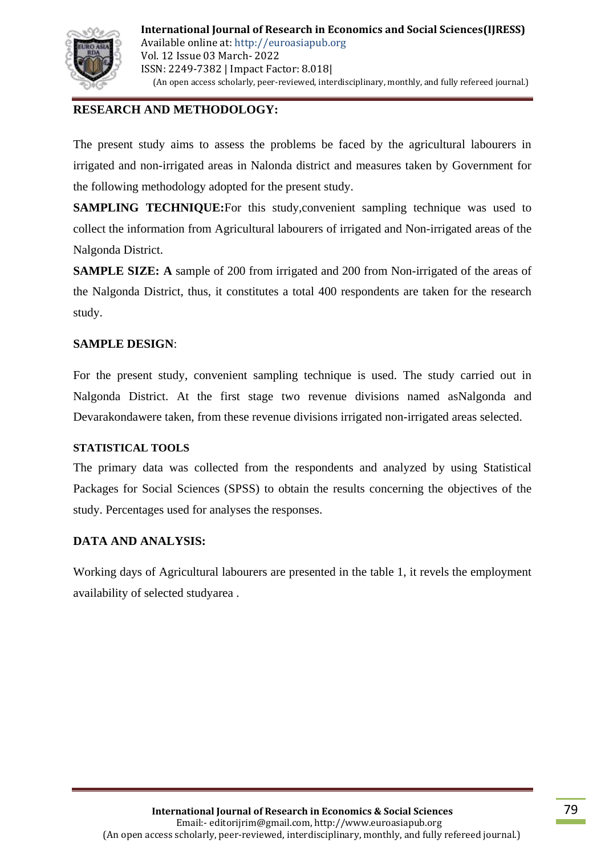

# **RESEARCH AND METHODOLOGY:**

The present study aims to assess the problems be faced by the agricultural labourers in irrigated and non-irrigated areas in Nalonda district and measures taken by Government for the following methodology adopted for the present study.

**SAMPLING TECHNIQUE:**For this study, convenient sampling technique was used to collect the information from Agricultural labourers of irrigated and Non-irrigated areas of the Nalgonda District.

**SAMPLE SIZE:** A sample of 200 from irrigated and 200 from Non-irrigated of the areas of the Nalgonda District, thus, it constitutes a total 400 respondents are taken for the research study.

### **SAMPLE DESIGN**:

For the present study, convenient sampling technique is used. The study carried out in Nalgonda District. At the first stage two revenue divisions named asNalgonda and Devarakondawere taken, from these revenue divisions irrigated non-irrigated areas selected.

### **STATISTICAL TOOLS**

The primary data was collected from the respondents and analyzed by using Statistical Packages for Social Sciences (SPSS) to obtain the results concerning the objectives of the study. Percentages used for analyses the responses.

### **DATA AND ANALYSIS:**

Working days of Agricultural labourers are presented in the table 1, it revels the employment availability of selected studyarea .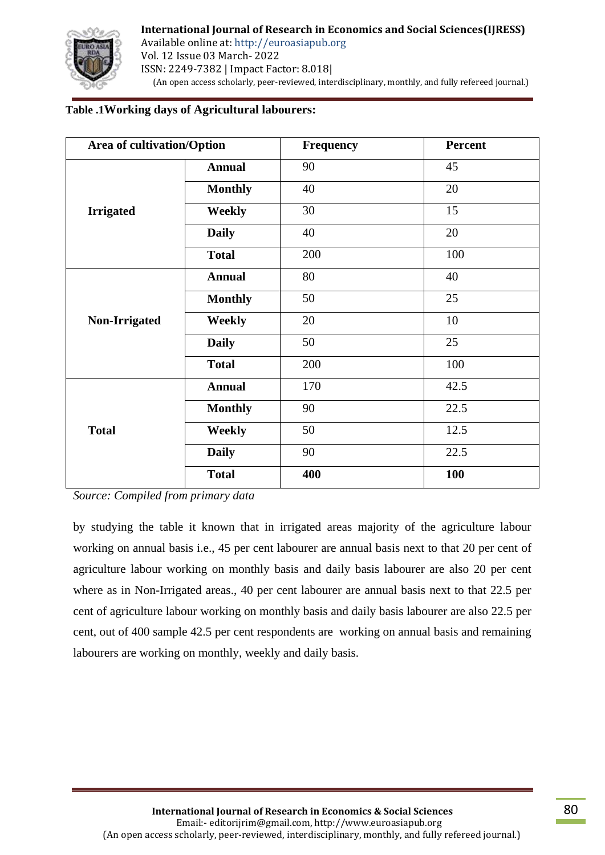

## **Table .1Working days of Agricultural labourers:**

| Area of cultivation/Option |                | Frequency | Percent    |
|----------------------------|----------------|-----------|------------|
|                            | <b>Annual</b>  | 90        | 45         |
| <b>Irrigated</b>           | <b>Monthly</b> | 40        | 20         |
|                            | <b>Weekly</b>  | 30        | 15         |
|                            | <b>Daily</b>   | 40        | 20         |
|                            | <b>Total</b>   | 200       | 100        |
| <b>Non-Irrigated</b>       | <b>Annual</b>  | 80        | 40         |
|                            | <b>Monthly</b> | 50        | 25         |
|                            | Weekly         | 20        | 10         |
|                            | <b>Daily</b>   | 50        | 25         |
|                            | <b>Total</b>   | 200       | 100        |
|                            | <b>Annual</b>  | 170       | 42.5       |
| <b>Total</b>               | <b>Monthly</b> | 90        | 22.5       |
|                            | Weekly         | 50        | 12.5       |
|                            | <b>Daily</b>   | 90        | 22.5       |
|                            | <b>Total</b>   | 400       | <b>100</b> |

*Source: Compiled from primary data*

by studying the table it known that in irrigated areas majority of the agriculture labour working on annual basis i.e., 45 per cent labourer are annual basis next to that 20 per cent of agriculture labour working on monthly basis and daily basis labourer are also 20 per cent where as in Non-Irrigated areas., 40 per cent labourer are annual basis next to that 22.5 per cent of agriculture labour working on monthly basis and daily basis labourer are also 22.5 per cent, out of 400 sample 42.5 per cent respondents are working on annual basis and remaining labourers are working on monthly, weekly and daily basis.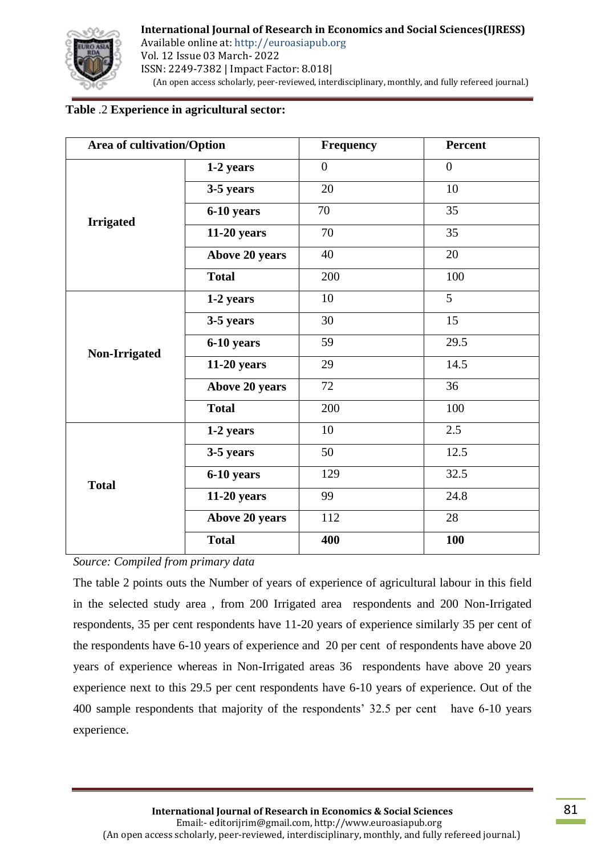

# **Table** .2 **Experience in agricultural sector:**

| <b>Area of cultivation/Option</b> |                | <b>Frequency</b> | Percent        |
|-----------------------------------|----------------|------------------|----------------|
| <b>Irrigated</b>                  | 1-2 years      | $\overline{0}$   | $\overline{0}$ |
|                                   | 3-5 years      | 20               | 10             |
|                                   | 6-10 years     | 70               | 35             |
|                                   | 11-20 years    | 70               | 35             |
|                                   | Above 20 years | 40               | 20             |
|                                   | <b>Total</b>   | 200              | $100\,$        |
|                                   | 1-2 years      | 10               | 5              |
|                                   | 3-5 years      | 30               | 15             |
| Non-Irrigated                     | 6-10 years     | 59               | 29.5           |
|                                   | 11-20 years    | 29               | 14.5           |
|                                   | Above 20 years | 72               | 36             |
|                                   | <b>Total</b>   | 200              | 100            |
|                                   | 1-2 years      | 10               | 2.5            |
| <b>Total</b>                      | 3-5 years      | 50               | 12.5           |
|                                   | 6-10 years     | 129              | 32.5           |
|                                   | $11-20$ years  | 99               | 24.8           |
|                                   | Above 20 years | 112              | 28             |
|                                   | <b>Total</b>   | 400              | 100            |

*Source: Compiled from primary data*

The table 2 points outs the Number of years of experience of agricultural labour in this field in the selected study area , from 200 Irrigated area respondents and 200 Non-Irrigated respondents, 35 per cent respondents have 11-20 years of experience similarly 35 per cent of the respondents have 6-10 years of experience and 20 per cent of respondents have above 20 years of experience whereas in Non-Irrigated areas 36 respondents have above 20 years experience next to this 29.5 per cent respondents have 6-10 years of experience. Out of the 400 sample respondents that majority of the respondents' 32.5 per cent have 6-10 years experience.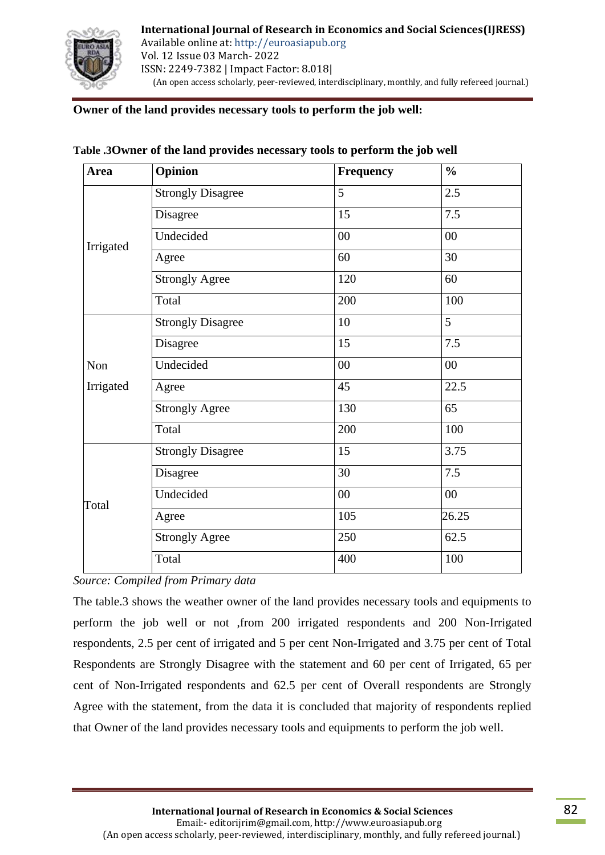

### **Owner of the land provides necessary tools to perform the job well:**

| <b>Area</b> | Opinion                  | Frequency | $\frac{0}{0}$ |
|-------------|--------------------------|-----------|---------------|
| Irrigated   | <b>Strongly Disagree</b> | 5         | 2.5           |
|             | Disagree                 | 15        | 7.5           |
|             | Undecided                | $00\,$    | $00\,$        |
|             | Agree                    | 60        | 30            |
|             | <b>Strongly Agree</b>    | 120       | 60            |
|             | Total                    | 200       | 100           |
|             | <b>Strongly Disagree</b> | 10        | 5             |
|             | Disagree                 | 15        | 7.5           |
| Non         | Undecided                | $00\,$    | $00\,$        |
| Irrigated   | Agree                    | 45        | 22.5          |
|             | <b>Strongly Agree</b>    | 130       | 65            |
|             | Total                    | 200       | 100           |
| Total       | <b>Strongly Disagree</b> | 15        | 3.75          |
|             | Disagree                 | 30        | 7.5           |
|             | Undecided                | $00\,$    | $00\,$        |
|             | Agree                    | 105       | 26.25         |
|             | <b>Strongly Agree</b>    | 250       | 62.5          |
|             | Total                    | 400       | 100           |

|  | Table .3Owner of the land provides necessary tools to perform the job well |  |  |
|--|----------------------------------------------------------------------------|--|--|
|  |                                                                            |  |  |

*Source: Compiled from Primary data*

The table.3 shows the weather owner of the land provides necessary tools and equipments to perform the job well or not ,from 200 irrigated respondents and 200 Non-Irrigated respondents, 2.5 per cent of irrigated and 5 per cent Non-Irrigated and 3.75 per cent of Total Respondents are Strongly Disagree with the statement and 60 per cent of Irrigated, 65 per cent of Non-Irrigated respondents and 62.5 per cent of Overall respondents are Strongly Agree with the statement, from the data it is concluded that majority of respondents replied that Owner of the land provides necessary tools and equipments to perform the job well.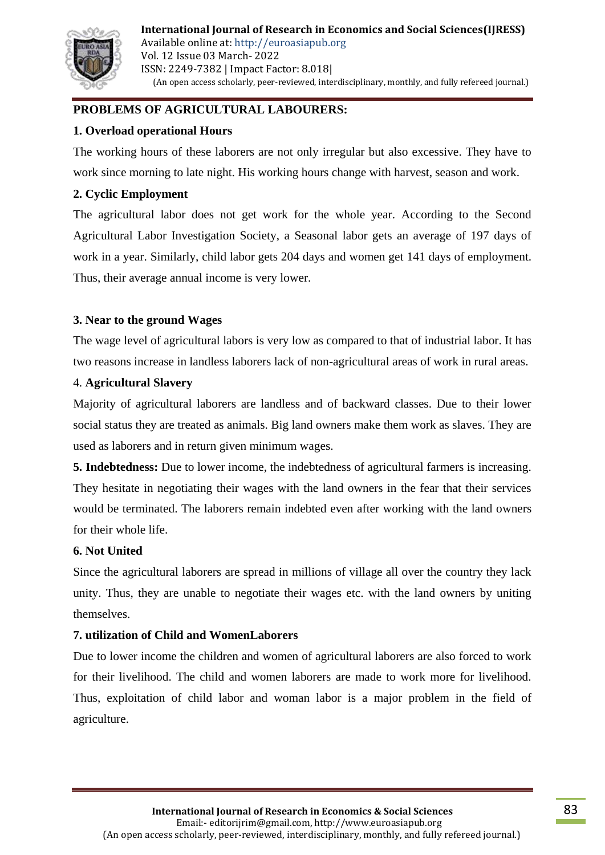

# **PROBLEMS OF AGRICULTURAL LABOURERS:**

## **1. Overload operational Hours**

The working hours of these laborers are not only irregular but also excessive. They have to work since morning to late night. His working hours change with harvest, season and work.

## **2. Cyclic Employment**

The agricultural labor does not get work for the whole year. According to the Second Agricultural Labor Investigation Society, a Seasonal labor gets an average of 197 days of work in a year. Similarly, child labor gets 204 days and women get 141 days of employment. Thus, their average annual income is very lower.

## **3. Near to the ground Wages**

The wage level of agricultural labors is very low as compared to that of industrial labor. It has two reasons increase in landless laborers lack of non-agricultural areas of work in rural areas.

## 4. **Agricultural Slavery**

Majority of agricultural laborers are landless and of backward classes. Due to their lower social status they are treated as animals. Big land owners make them work as slaves. They are used as laborers and in return given minimum wages.

**5. Indebtedness:** Due to lower income, the indebtedness of agricultural farmers is increasing. They hesitate in negotiating their wages with the land owners in the fear that their services would be terminated. The laborers remain indebted even after working with the land owners for their whole life.

## **6. Not United**

Since the agricultural laborers are spread in millions of village all over the country they lack unity. Thus, they are unable to negotiate their wages etc. with the land owners by uniting themselves.

## **7. utilization of Child and WomenLaborers**

Due to lower income the children and women of agricultural laborers are also forced to work for their livelihood. The child and women laborers are made to work more for livelihood. Thus, exploitation of child labor and woman labor is a major problem in the field of agriculture.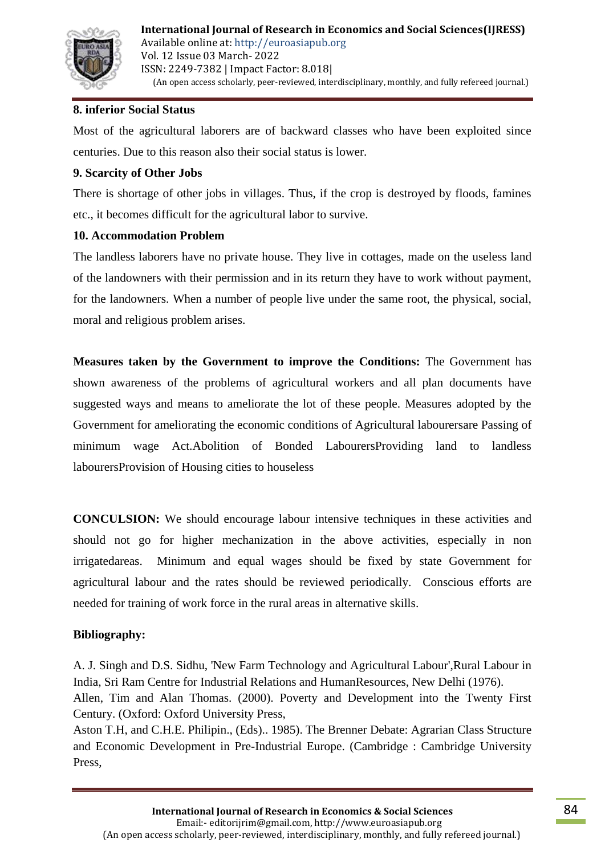

### **8. inferior Social Status**

Most of the agricultural laborers are of backward classes who have been exploited since centuries. Due to this reason also their social status is lower.

### **9. Scarcity of Other Jobs**

There is shortage of other jobs in villages. Thus, if the crop is destroyed by floods, famines etc., it becomes difficult for the agricultural labor to survive.

### **10. Accommodation Problem**

The landless laborers have no private house. They live in cottages, made on the useless land of the landowners with their permission and in its return they have to work without payment, for the landowners. When a number of people live under the same root, the physical, social, moral and religious problem arises.

**Measures taken by the Government to improve the Conditions:** The Government has shown awareness of the problems of agricultural workers and all plan documents have suggested ways and means to ameliorate the lot of these people. Measures adopted by the Government for ameliorating the economic conditions of Agricultural labourersare Passing of minimum wage Act.Abolition of Bonded LabourersProviding land to landless labourersProvision of Housing cities to houseless

**CONCULSION:** We should encourage labour intensive techniques in these activities and should not go for higher mechanization in the above activities, especially in non irrigatedareas. Minimum and equal wages should be fixed by state Government for agricultural labour and the rates should be reviewed periodically. Conscious efforts are needed for training of work force in the rural areas in alternative skills.

## **Bibliography:**

A. J. Singh and D.S. Sidhu, 'New Farm Technology and Agricultural Labour',Rural Labour in India, Sri Ram Centre for Industrial Relations and HumanResources, New Delhi (1976). Allen, Tim and Alan Thomas. (2000). Poverty and Development into the Twenty First Century. (Oxford: Oxford University Press,

Aston T.H, and C.H.E. Philipin., (Eds).. 1985). The Brenner Debate: Agrarian Class Structure and Economic Development in Pre-Industrial Europe. (Cambridge : Cambridge University Press,